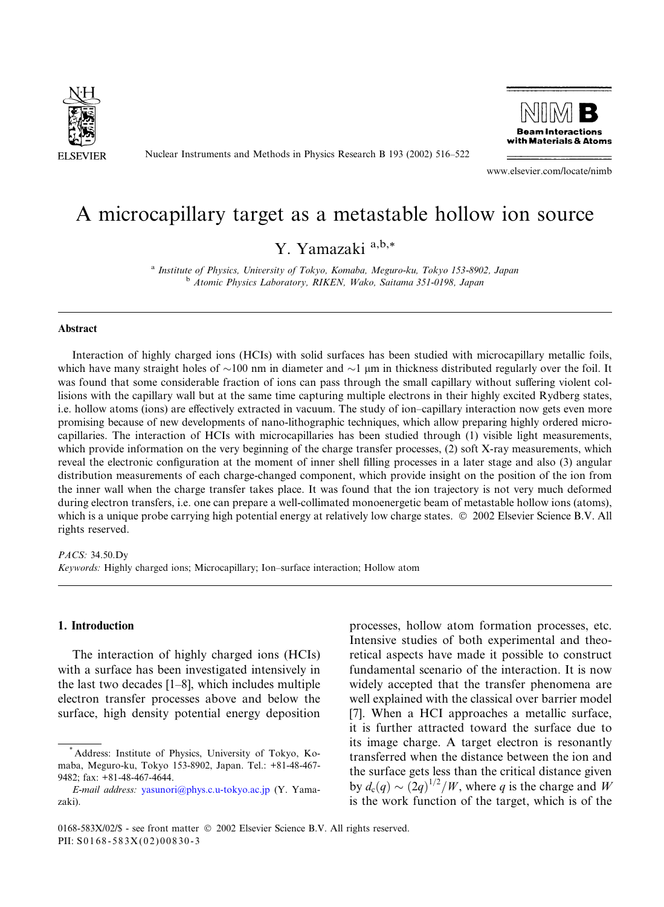

Nuclear Instruments and Methods in Physics Research B 193 (2002) 516–522



www.elsevier.com/locate/nimb

# A microcapillary target as a metastable hollow ion source

## Y. Yamazaki a,b,\*

<sup>a</sup> Institute of Physics, University of Tokyo, Komaba, Meguro-ku, Tokyo 153-8902, Japan <sup>b</sup> Atomic Physics Laboratory, RIKEN, Wako, Saitama 351-0198, Japan

#### Abstract

Interaction of highly charged ions (HCIs) with solid surfaces has been studied with microcapillary metallic foils, which have many straight holes of  $\sim$ 100 nm in diameter and  $\sim$ 1 µm in thickness distributed regularly over the foil. It was found that some considerable fraction of ions can pass through the small capillary without suffering violent collisions with the capillary wall but at the same time capturing multiple electrons in their highly excited Rydberg states, i.e. hollow atoms (ions) are effectively extracted in vacuum. The study of ion–capillary interaction now gets even more promising because of new developments of nano-lithographic techniques, which allow preparing highly ordered microcapillaries. The interaction of HCIs with microcapillaries has been studied through (1) visible light measurements, which provide information on the very beginning of the charge transfer processes, (2) soft X-ray measurements, which reveal the electronic configuration at the moment of inner shell filling processes in a later stage and also (3) angular distribution measurements of each charge-changed component, which provide insight on the position of the ion from the inner wall when the charge transfer takes place. It was found that the ion trajectory is not very much deformed during electron transfers, i.e. one can prepare a well-collimated monoenergetic beam of metastable hollow ions (atoms), which is a unique probe carrying high potential energy at relatively low charge states.  $\circ$  2002 Elsevier Science B.V. All rights reserved.

PACS: 34.50.Dy

Keywords: Highly charged ions; Microcapillary; Ion–surface interaction; Hollow atom

#### 1. Introduction

The interaction of highly charged ions (HCIs) with a surface has been investigated intensively in the last two decades [1–8], which includes multiple electron transfer processes above and below the surface, high density potential energy deposition processes, hollow atom formation processes, etc. Intensive studies of both experimental and theoretical aspects have made it possible to construct fundamental scenario of the interaction. It is now widely accepted that the transfer phenomena are well explained with the classical over barrier model [7]. When a HCI approaches a metallic surface, it is further attracted toward the surface due to its image charge. A target electron is resonantly transferred when the distance between the ion and the surface gets less than the critical distance given by  $d_c(q) \sim (2q)^{1/2}/W$ , where q is the charge and W is the work function of the target, which is of the

<sup>\*</sup> Address: Institute of Physics, University of Tokyo, Komaba, Meguro-ku, Tokyo 153-8902, Japan. Tel.: +81-48-467- 9482; fax: +81-48-467-4644.

E-mail address: [yasunori@phys.c.u-tokyo.ac.jp](mail to: yasunori@phys.c.u-tokyo.ac.jp) (Y. Yamazaki).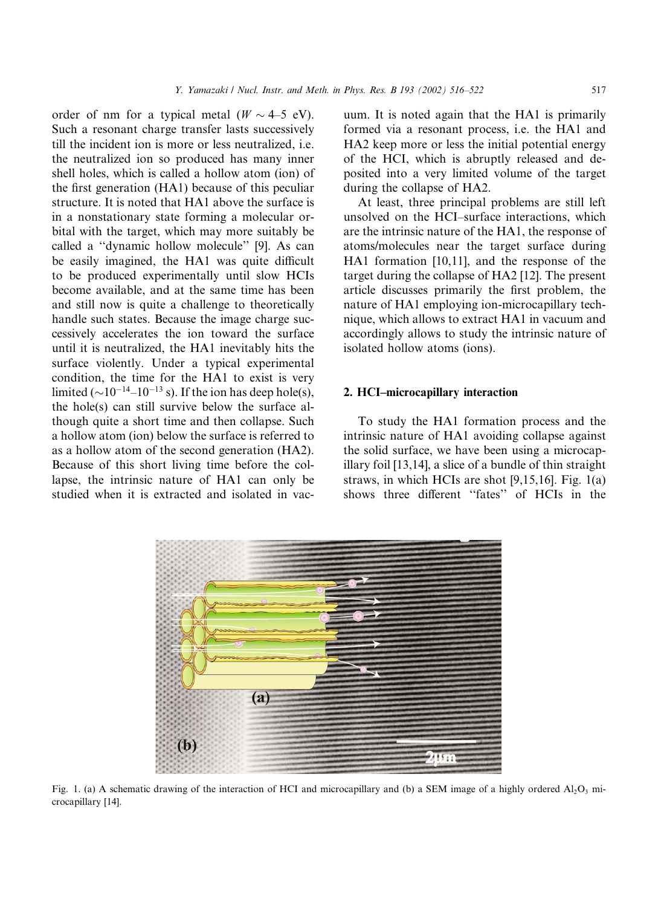order of nm for a typical metal  $(W \sim 4-5$  eV). Such a resonant charge transfer lasts successively till the incident ion is more or less neutralized, i.e. the neutralized ion so produced has many inner shell holes, which is called a hollow atom (ion) of the first generation  $(HA1)$  because of this peculiar structure. It is noted that HA1 above the surface is in a nonstationary state forming a molecular orbital with the target, which may more suitably be called a ''dynamic hollow molecule'' [9]. As can be easily imagined, the HA1 was quite difficult to be produced experimentally until slow HCIs become available, and at the same time has been and still now is quite a challenge to theoretically handle such states. Because the image charge successively accelerates the ion toward the surface until it is neutralized, the HA1 inevitably hits the surface violently. Under a typical experimental condition, the time for the HA1 to exist is very limited  $(\sim 10^{-14} - 10^{-13}$  s). If the ion has deep hole(s), the hole(s) can still survive below the surface although quite a short time and then collapse. Such a hollow atom (ion) below the surface is referred to as a hollow atom of the second generation (HA2). Because of this short living time before the collapse, the intrinsic nature of HA1 can only be studied when it is extracted and isolated in vacuum. It is noted again that the HA1 is primarily formed via a resonant process, i.e. the HA1 and HA2 keep more or less the initial potential energy of the HCI, which is abruptly released and deposited into a very limited volume of the target during the collapse of HA2.

At least, three principal problems are still left unsolved on the HCI–surface interactions, which are the intrinsic nature of the HA1, the response of atoms/molecules near the target surface during HA1 formation [10,11], and the response of the target during the collapse of HA2 [12]. The present article discusses primarily the first problem, the nature of HA1 employing ion-microcapillary technique, which allows to extract HA1 in vacuum and accordingly allows to study the intrinsic nature of isolated hollow atoms (ions).

#### 2. HCI–microcapillary interaction

To study the HA1 formation process and the intrinsic nature of HA1 avoiding collapse against the solid surface, we have been using a microcapillary foil [13,14], a slice of a bundle of thin straight straws, in which HCIs are shot [9,15,16]. Fig. 1(a) shows three different ''fates'' of HCIs in the



Fig. 1. (a) A schematic drawing of the interaction of HCI and microcapillary and (b) a SEM image of a highly ordered  $A_2O_3$  microcapillary [14].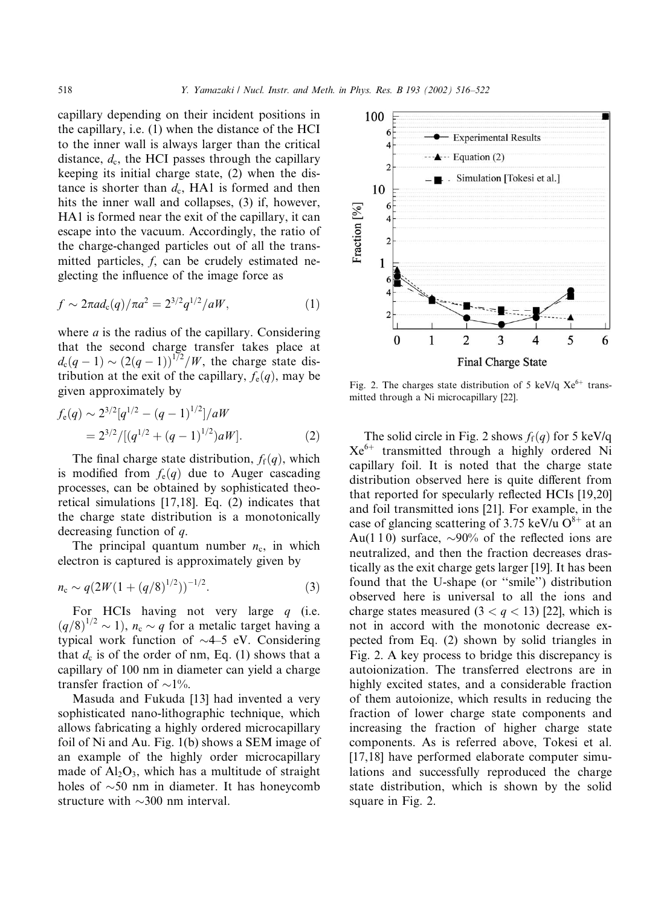capillary depending on their incident positions in the capillary, i.e.  $(1)$  when the distance of the HCI to the inner wall is always larger than the critical distance,  $d_c$ , the HCI passes through the capillary keeping its initial charge state,  $(2)$  when the distance is shorter than  $d_c$ , HA1 is formed and then hits the inner wall and collapses, (3) if, however, HA1 is formed near the exit of the capillary, it can escape into the vacuum. Accordingly, the ratio of the charge-changed particles out of all the transmitted particles, f, can be crudely estimated neglecting the influence of the image force as

$$
f \sim 2\pi a d_{c}(q)/\pi a^{2} = 2^{3/2} q^{1/2}/aW, \qquad (1)
$$

where  $a$  is the radius of the capillary. Considering that the second charge transfer takes place at  $d_c(q-1) \sim (2(q-1))^{1/2}/W$ , the charge state distribution at the exit of the capillary,  $f_e(q)$ , may be given approximately by

$$
f_e(q) \sim 2^{3/2} [q^{1/2} - (q-1)^{1/2}] / aW
$$
  
= 
$$
2^{3/2} / [(q^{1/2} + (q-1)^{1/2}) aW].
$$
 (2)

The final charge state distribution,  $f_f(q)$ , which is modified from  $f_e(q)$  due to Auger cascading processes, can be obtained by sophisticated theoretical simulations  $[17,18]$ . Eq.  $(2)$  indicates that the charge state distribution is a monotonically decreasing function of q.

The principal quantum number  $n_c$ , in which electron is captured is approximately given by

$$
n_{\rm c} \sim q(2W(1+(q/8)^{1/2}))^{-1/2}.
$$
 (3)

For HCIs having not very large  $q$  (i.e.  $(q/8)^{1/2} \sim 1$ ),  $n_c \sim q$  for a metalic target having a typical work function of  $\sim$ 4–5 eV. Considering that  $d_c$  is of the order of nm, Eq. (1) shows that a capillary of 100 nm in diameter can yield a charge transfer fraction of  $\sim$ 1%.

Masuda and Fukuda [13] had invented a very sophisticated nano-lithographic technique, which allows fabricating a highly ordered microcapillary foil of Ni and Au. Fig.  $1(b)$  shows a SEM image of an example of the highly order microcapillary made of  $Al_2O_3$ , which has a multitude of straight holes of  $\sim$ 50 nm in diameter. It has honeycomb structure with  $\sim$ 300 nm interval.



Fig. 2. The charges state distribution of 5 keV/q  $Xe^{6+}$  transmitted through a Ni microcapillary [22].

The solid circle in Fig. 2 shows  $f_f(q)$  for 5 keV/q  $Xe^{6+}$  transmitted through a highly ordered Ni capillary foil. It is noted that the charge state distribution observed here is quite different from that reported for specularly reflected HCIs [19,20] and foil transmitted ions [21]. For example, in the case of glancing scattering of 3.75 keV/u  $O^{8+}$  at an Au(110) surface,  $\sim 90\%$  of the reflected ions are neutralized, and then the fraction decreases drastically as the exit charge gets larger [19]. It has been found that the U-shape (or "smile") distribution observed here is universal to all the ions and charge states measured  $(3 < q < 13)$  [22], which is not in accord with the monotonic decrease expected from Eq.  $(2)$  shown by solid triangles in Fig. 2. A key process to bridge this discrepancy is autoionization. The transferred electrons are in highly excited states, and a considerable fraction of them autoionize, which results in reducing the fraction of lower charge state components and increasing the fraction of higher charge state components. As is referred above, Tokesi et al. [17,18] have performed elaborate computer simulations and successfully reproduced the charge state distribution, which is shown by the solid square in Fig. 2.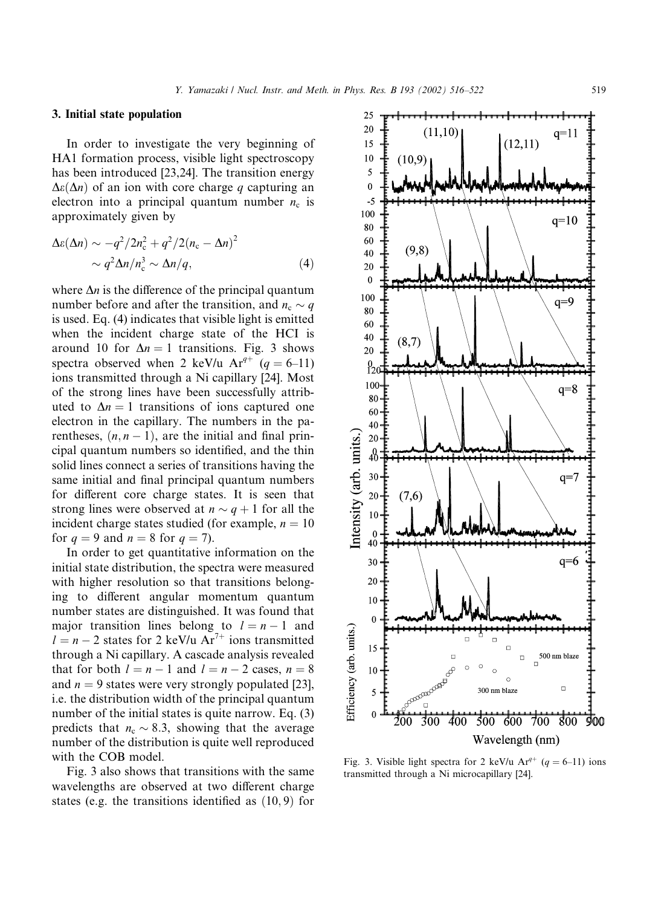#### 3. Initial state population

In order to investigate the very beginning of HA1 formation process, visible light spectroscopy has been introduced [23,24]. The transition energy  $\Delta\varepsilon(\Delta n)$  of an ion with core charge q capturing an electron into a principal quantum number  $n_c$  is approximately given by

$$
\Delta\varepsilon(\Delta n) \sim -q^2/2n_c^2 + q^2/2(n_c - \Delta n)^2
$$
  
 
$$
\sim q^2 \Delta n/n_c^3 \sim \Delta n/q,
$$
 (4)

where  $\Delta n$  is the difference of the principal quantum number before and after the transition, and  $n_c \sim q$ is used. Eq.  $(4)$  indicates that visible light is emitted when the incident charge state of the HCI is around 10 for  $\Delta n = 1$  transitions. Fig. 3 shows spectra observed when 2 keV/u  $Ar^{q+}$  (q = 6–11) ions transmitted through a Ni capillary [24]. Most of the strong lines have been successfully attributed to  $\Delta n = 1$  transitions of ions captured one electron in the capillary. The numbers in the parentheses,  $(n, n - 1)$ , are the initial and final principal quantum numbers so identified, and the thin solid lines connect a series of transitions having the same initial and final principal quantum numbers for different core charge states. It is seen that strong lines were observed at  $n \sim q + 1$  for all the incident charge states studied (for example,  $n = 10$ ) for  $q = 9$  and  $n = 8$  for  $q = 7$ ).

In order to get quantitative information on the initial state distribution, the spectra were measured with higher resolution so that transitions belonging to different angular momentum quantum number states are distinguished. It was found that major transition lines belong to  $l = n - 1$  and  $l = n - 2$  states for 2 keV/u Ar<sup>7+</sup> ions transmitted through a Ni capillary. A cascade analysis revealed that for both  $l = n - 1$  and  $l = n - 2$  cases,  $n = 8$ and  $n = 9$  states were very strongly populated [23], i.e. the distribution width of the principal quantum number of the initial states is quite narrow. Eq. (3) predicts that  $n_c \sim 8.3$ , showing that the average number of the distribution is quite well reproduced with the COB model.

Fig. 3 also shows that transitions with the same wavelengths are observed at two different charge states (e.g. the transitions identified as  $(10, 9)$  for

 $10\,$  $\mathbf{0}$ 40 30 q=6 20  $10$  $\bf{0}$  $\Box$ 15  $\Box$ 500 nm blaze  $\Box$  $\overline{a}$  $10$  $\circ$  $\circ$ **POD** 300 nm blaze  $\Box$ 5  $\bf{0}$  $\frac{1}{500}$  600 700 800  $300 - 400$  $200$  $900$ Wavelength (nm)

Fig. 3. Visible light spectra for 2 keV/u Ar<sup>q+</sup> (q = 6–11) ions transmitted through a Ni microcapillary [24].

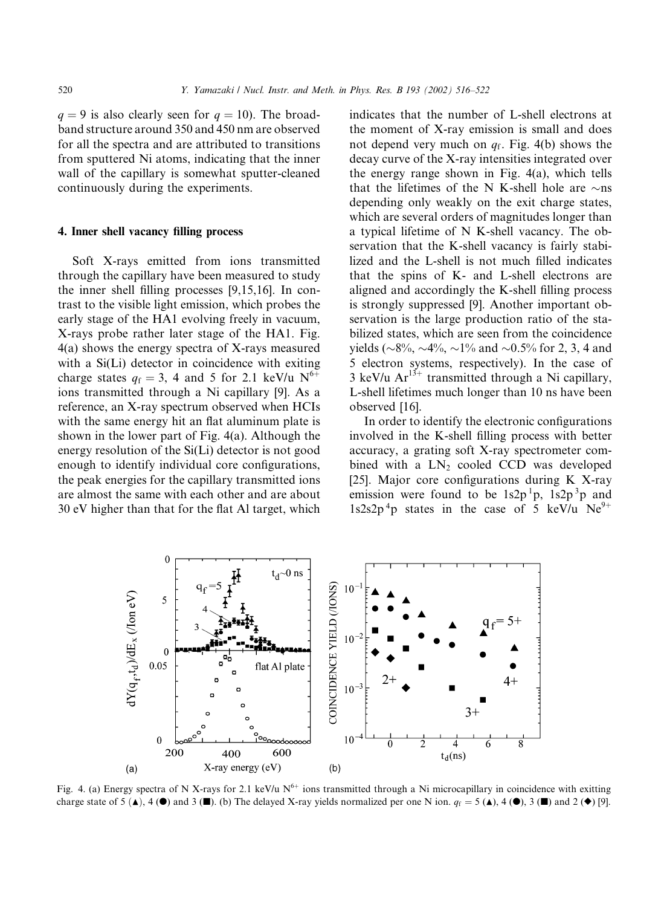$q = 9$  is also clearly seen for  $q = 10$ ). The broadband structure around 350 and 450 nm are observed for all the spectra and are attributed to transitions from sputtered Ni atoms, indicating that the inner wall of the capillary is somewhat sputter-cleaned continuously during the experiments.

#### 4. Inner shell vacancy filling process

Soft X-rays emitted from ions transmitted through the capillary have been measured to study the inner shell filling processes [9,15,16]. In contrast to the visible light emission, which probes the early stage of the HA1 evolving freely in vacuum, X-rays probe rather later stage of the HA1. Fig.  $4(a)$  shows the energy spectra of X-rays measured with a  $Si(Li)$  detector in coincidence with exiting charge states  $q_f = 3$ , 4 and 5 for 2.1 keV/u N<sup>6+</sup> ions transmitted through a Ni capillary [9]. As a reference, an X-ray spectrum observed when HCIs with the same energy hit an flat aluminum plate is shown in the lower part of Fig. 4(a). Although the energy resolution of the Si(Li) detector is not good enough to identify individual core configurations, the peak energies for the capillary transmitted ions are almost the same with each other and are about 30 eV higher than that for the flat Al target, which indicates that the number of L-shell electrons at the moment of X-ray emission is small and does not depend very much on  $q_f$ . Fig. 4(b) shows the decay curve of the X-ray intensities integrated over the energy range shown in Fig. 4(a), which tells that the lifetimes of the N K-shell hole are  $\sim$ ns depending only weakly on the exit charge states, which are several orders of magnitudes longer than a typical lifetime of N K-shell vacancy. The observation that the K-shell vacancy is fairly stabilized and the L-shell is not much filled indicates that the spins of K- and L-shell electrons are aligned and accordingly the K-shell filling process is strongly suppressed [9]. Another important observation is the large production ratio of the stabilized states, which are seen from the coincidence yields ( $\sim 8\%$ ,  $\sim 4\%$ ,  $\sim 1\%$  and  $\sim 0.5\%$  for 2, 3, 4 and 5 electron systems, respectively). In the case of 3 keV/u  $Ar^{13+}$  transmitted through a Ni capillary, L-shell lifetimes much longer than 10 ns have been observed [16].

In order to identify the electronic configurations involved in the K-shell filling process with better accuracy, a grating soft X-ray spectrometer combined with a  $LN_2$  cooled CCD was developed [25]. Major core configurations during K X-ray emission were found to be  $1s2p<sup>1</sup>p$ ,  $1s2p<sup>3</sup>p$  and  $1s2s2p<sup>4</sup>p$  states in the case of 5 keV/u Ne<sup>9+</sup>



Fig. 4. (a) Energy spectra of N X-rays for 2.1 keV/u  $N^{6+}$  ions transmitted through a Ni microcapillary in coincidence with exitting charge state of 5  $(\triangle)$ , 4  $(\triangle)$  and 3  $(\square)$ . (b) The delayed X-ray yields normalized per one N ion.  $q_f = 5 (\triangle)$ , 4  $(\triangle)$ , 3  $(\square)$  and 2  $(\triangle)$  [9].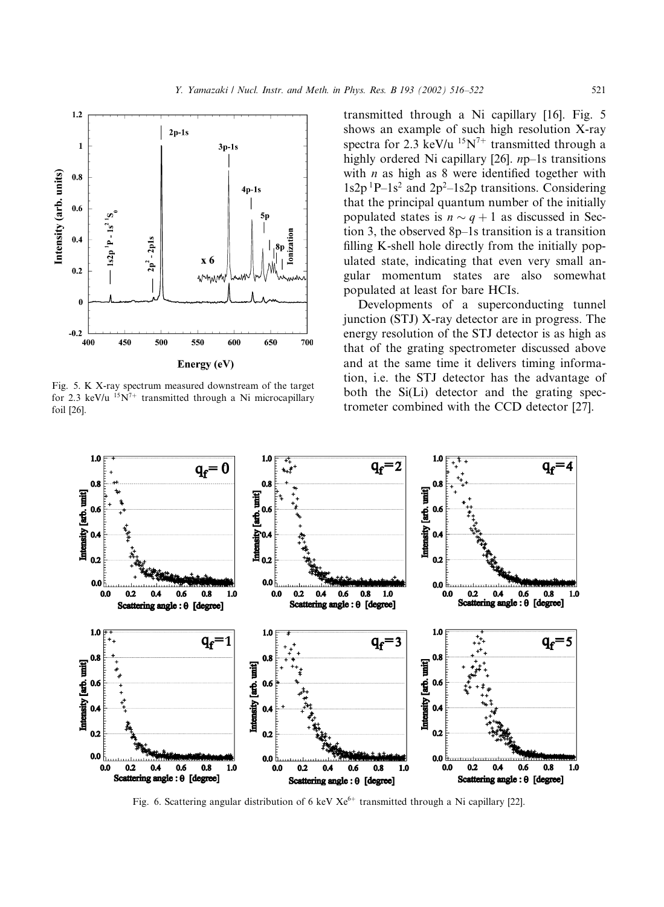

Fig. 5. K X-ray spectrum measured downstream of the target for 2.3 keV/u  $15N^{7+}$  transmitted through a Ni microcapillary foil [26].

transmitted through a Ni capillary [16]. Fig. 5 shows an example of such high resolution X-ray spectra for 2.3 keV/u  $15N^{7+}$  transmitted through a highly ordered Ni capillary [26]. np–1s transitions with  $n$  as high as 8 were identified together with  $1s2p<sup>1</sup>P-1s<sup>2</sup>$  and  $2p<sup>2</sup>-1s2p$  transitions. Considering that the principal quantum number of the initially populated states is  $n \sim q + 1$  as discussed in Section 3, the observed 8p–1s transition is a transition filling K-shell hole directly from the initially populated state, indicating that even very small angular momentum states are also somewhat populated at least for bare HCIs.

Developments of a superconducting tunnel junction (STJ) X-ray detector are in progress. The energy resolution of the STJ detector is as high as that of the grating spectrometer discussed above and at the same time it delivers timing information, i.e. the STJ detector has the advantage of both the  $Si(Li)$  detector and the grating spectrometer combined with the CCD detector [27].



Fig. 6. Scattering angular distribution of 6 keV  $Xe^{6+}$  transmitted through a Ni capillary [22].